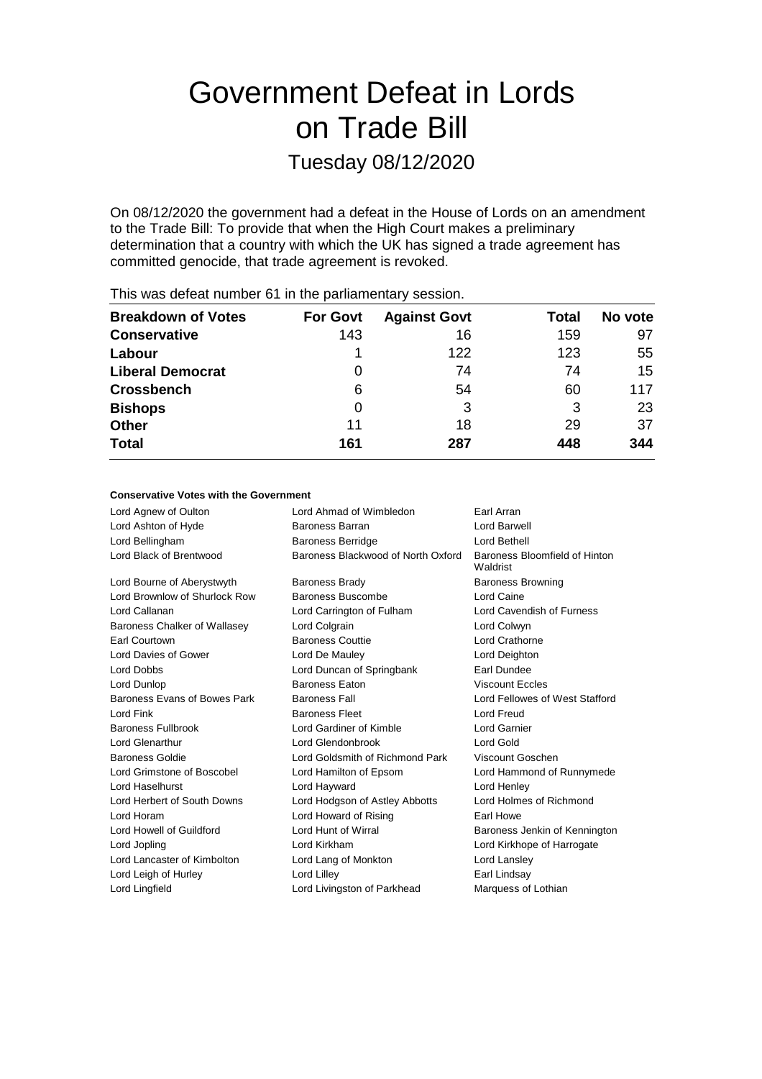# Government Defeat in Lords on Trade Bill

Tuesday 08/12/2020

On 08/12/2020 the government had a defeat in the House of Lords on an amendment to the Trade Bill: To provide that when the High Court makes a preliminary determination that a country with which the UK has signed a trade agreement has committed genocide, that trade agreement is revoked.

|                           |                 | -                   |       |         |
|---------------------------|-----------------|---------------------|-------|---------|
| <b>Breakdown of Votes</b> | <b>For Govt</b> | <b>Against Govt</b> | Total | No vote |
| <b>Conservative</b>       | 143             | 16                  | 159   | 97      |
| Labour                    |                 | 122                 | 123   | 55      |
| <b>Liberal Democrat</b>   | 0               | 74                  | 74    | 15      |
| <b>Crossbench</b>         | 6               | 54                  | 60    | 117     |
| <b>Bishops</b>            | 0               | 3                   | 3     | 23      |
| <b>Other</b>              | 11              | 18                  | 29    | 37      |
| <b>Total</b>              | 161             | 287                 | 448   | 344     |
|                           |                 |                     |       |         |

This was defeat number 61 in the parliamentary session.

### **Conservative Votes with the Government**

| Lord Agnew of Oulton          | Lord Ahmad of Wimbledon            | Earl Arran                                |
|-------------------------------|------------------------------------|-------------------------------------------|
| Lord Ashton of Hyde           | Baroness Barran                    | I ord Barwell                             |
| Lord Bellingham               | <b>Baroness Berridge</b>           | Lord Bethell                              |
| Lord Black of Brentwood       | Baroness Blackwood of North Oxford | Baroness Bloomfield of Hinton<br>Waldrist |
| Lord Bourne of Aberystwyth    | <b>Baroness Brady</b>              | <b>Baroness Browning</b>                  |
| Lord Brownlow of Shurlock Row | Baroness Buscombe                  | Lord Caine                                |
| Lord Callanan                 | Lord Carrington of Fulham          | Lord Cavendish of Furness                 |
| Baroness Chalker of Wallasey  | Lord Colgrain                      | Lord Colwyn                               |
| Earl Courtown                 | <b>Baroness Couttie</b>            | Lord Crathorne                            |
| Lord Davies of Gower          | Lord De Mauley                     | Lord Deighton                             |
| Lord Dobbs                    | Lord Duncan of Springbank          | Earl Dundee                               |
| Lord Dunlop                   | <b>Baroness Faton</b>              | <b>Viscount Fccles</b>                    |
| Baroness Evans of Bowes Park  | <b>Baroness Fall</b>               | Lord Fellowes of West Stafford            |
| Lord Fink                     | <b>Baroness Fleet</b>              | Lord Freud                                |
| <b>Baroness Fullbrook</b>     | Lord Gardiner of Kimble            | <b>Lord Garnier</b>                       |
| Lord Glenarthur               | Lord Glendonbrook                  | Lord Gold                                 |
| Baroness Goldie               | Lord Goldsmith of Richmond Park    | Viscount Goschen                          |
| Lord Grimstone of Boscobel    | Lord Hamilton of Epsom             | Lord Hammond of Runnymede                 |
| Lord Haselhurst               | Lord Hayward                       | Lord Henley                               |
| Lord Herbert of South Downs   | Lord Hodgson of Astley Abbotts     | Lord Holmes of Richmond                   |
| Lord Horam                    | Lord Howard of Rising              | Farl Howe                                 |
| Lord Howell of Guildford      | Lord Hunt of Wirral                | Baroness Jenkin of Kennington             |
| Lord Jopling                  | Lord Kirkham                       | Lord Kirkhope of Harrogate                |
| Lord Lancaster of Kimbolton   | Lord Lang of Monkton               | Lord Lansley                              |
| Lord Leigh of Hurley          | Lord Lilley                        | Earl Lindsay                              |
| Lord Lingfield                | Lord Livingston of Parkhead        | Marquess of Lothian                       |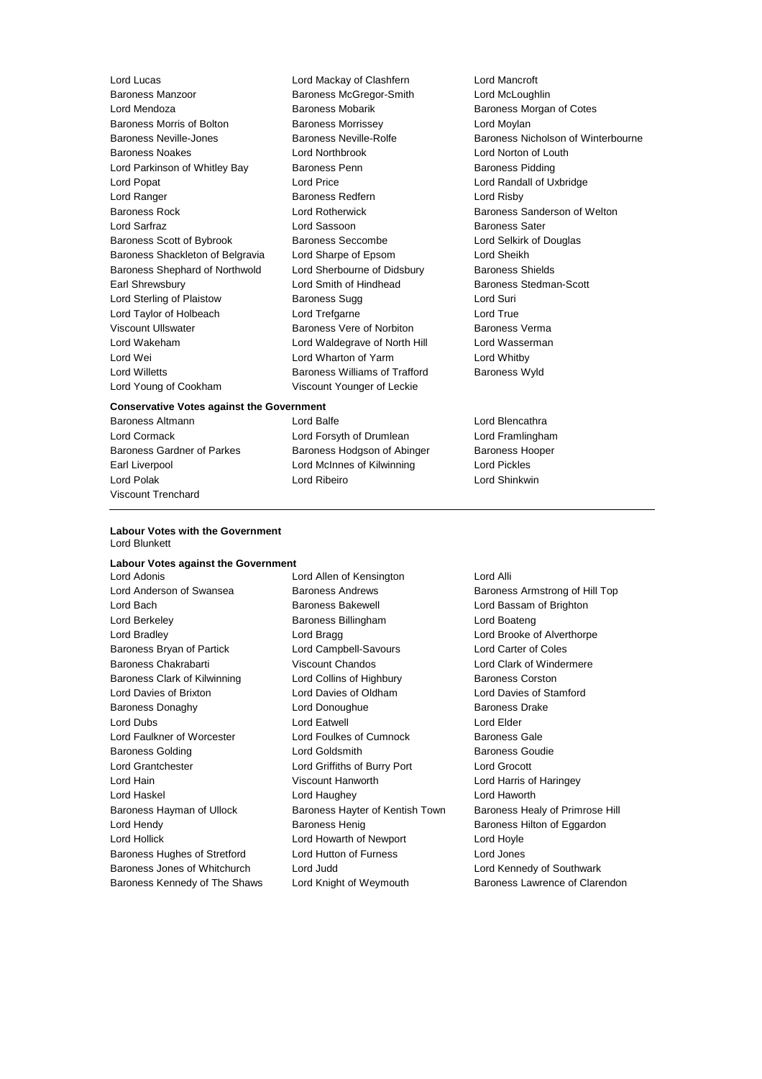Lord Lucas Lord Mackay of Clashfern Lord Mancroft Lord Mendoza Baroness Mobarik Baroness Morgan of Cotes Baroness Morris of Bolton Baroness Morrissey Carolyness Morrissey Baroness Neville-Jones Baroness Neville-Rolfe Baroness Nicholson of Winterbourne Baroness Noakes **Lord Northbrook** Lord Norton of Louth<br>
Lord Parkinson of Whitley Bay **Baroness Penn** Baroness Pidding Lord Parkinson of Whitley Bay Baroness Penn Lord Popat Lord Price Lord Randall of Uxbridge Lord Ranger **Baroness Redfern** Exercise Redfern **Lord Risby** Baroness Rock Lord Rotherwick Baroness Sanderson of Welton Lord Sarfraz **Lord Sassoon** Baroness Sater Baroness Scott of Bybrook Baroness Seccombe Lord Selkirk of Douglas Baroness Shackleton of Belgravia Lord Sharpe of Epsom Lord Sheikh Baroness Shephard of Northwold Lord Sherbourne of Didsbury Baroness Shields Earl Shrewsbury **Lord Smith of Hindhead** Baroness Stedman-Scott Lord Sterling of Plaistow **Baroness Sugg Cord Surism Cord Surism Cord Surism Cord Surism Cord Surism Cord Surism Cord Surism Cord Surism Cord Surism Cord Surism Cord Surism Cord Surism Cord Surism Cord Surism Cord Surism C** Lord Taylor of Holbeach Lord Trefgarne Lord True Viscount Ullswater **Baroness Vere of Norbiton** Baroness Verma Lord Wakeham **Lord Waldegrave of North Hill** Lord Wasserman Lord Wei Lord Wharton of Yarm Lord Whitby Lord Willetts **Baroness Williams of Trafford** Baroness Wyld Lord Young of Cookham Viscount Younger of Leckie

Baroness McGregor-Smith Lord McLoughlin

#### **Conservative Votes against the Government**

Baroness Altmann and Lord Balfe **Lord Balferen and Lord Blencathra** Viscount Trenchard

# Lord Cormack Lord Forsyth of Drumlean Lord Framlingham Baroness Gardner of Parkes Baroness Hodgson of Abinger Baroness Hooper Earl Liverpool **Lord McInnes of Kilwinning** Lord Pickles Lord Polak Lord Ribeiro Lord Shinkwin

#### **Labour Votes with the Government** Lord Blunkett

#### **Labour Votes against the Government**

Lord Bach **Baroness Bakewell Baroness Bakewell Lord Bassam of Brighton** Lord Berkeley **Baroness Billingham** Lord Boateng Lord Bradley **Lord Bragg Lord Bragg Lord Brooke of Alverthorpe** Baroness Bryan of Partick Lord Campbell-Savours Lord Carter of Coles Baroness Chakrabarti **Viscount Chandos** Chandos Lord Clark of Windermere Baroness Clark of Kilwinning **Lord Collins of Highbury** Baroness Corston Lord Davies of Brixton Lord Davies of Oldham Lord Davies of Stamford Baroness Donaghy Lord Donoughue Baroness Drake Lord Dubs **Lord Eatwell** Lord Eatwell **Lord Elder** Lord Faulkner of Worcester Lord Foulkes of Cumnock Baroness Gale Baroness Golding **Communist Construction Construction** Lord Goldsmith **Baroness Goudie** Lord Grantchester Lord Griffiths of Burry Port Lord Grocott Lord Hain Viscount Hanworth Lord Harris of Haringey Lord Haskel Lord Haughey Lord Haworth Lord Hendy **Baroness Henig** Baroness Henig Baroness Hilton of Eggardon Lord Hollick Lord Howarth of Newport Lord Hoyle Baroness Hughes of Stretford Lord Hutton of Furness Lord Jones Baroness Jones of Whitchurch Lord Judd Lord Kennedy of Southwark

Lord Adonis Lord Allen of Kensington Lord Alli

Lord Anderson of Swansea **Baroness Andrews** Baroness Armstrong of Hill Top Baroness Hayman of Ullock Baroness Hayter of Kentish Town Baroness Healy of Primrose Hill Baroness Kennedy of The Shaws Lord Knight of Weymouth Baroness Lawrence of Clarendon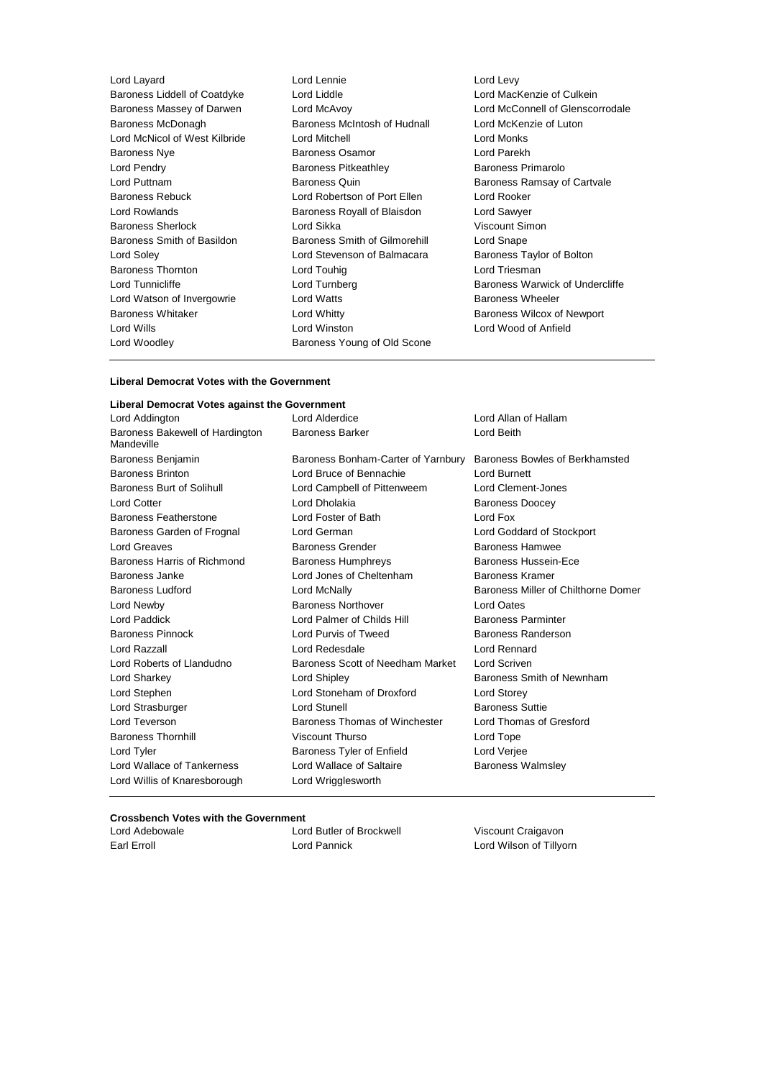| Lord Layard                   | Lord Lennie                   | Lord Levy             |
|-------------------------------|-------------------------------|-----------------------|
| Baroness Liddell of Coatdyke  | Lord Liddle                   | Lord MacKenzi         |
| Baroness Massey of Darwen     | Lord McAvoy                   | Lord McConnel         |
| Baroness McDonagh             | Baroness McIntosh of Hudnall  | Lord McKenzie         |
| Lord McNicol of West Kilbride | Lord Mitchell                 | Lord Monks            |
| <b>Baroness Nye</b>           | <b>Baroness Osamor</b>        | Lord Parekh           |
| Lord Pendry                   | <b>Baroness Pitkeathley</b>   | <b>Baroness Prim</b>  |
| Lord Puttnam                  | <b>Baroness Quin</b>          | <b>Baroness Ram</b>   |
| <b>Baroness Rebuck</b>        | Lord Robertson of Port Ellen  | Lord Rooker           |
| Lord Rowlands                 | Baroness Royall of Blaisdon   | Lord Sawyer           |
| <b>Baroness Sherlock</b>      | Lord Sikka                    | <b>Viscount Simor</b> |
| Baroness Smith of Basildon    | Baroness Smith of Gilmorehill | Lord Snape            |
| Lord Soley                    | Lord Stevenson of Balmacara   | <b>Baroness Tayk</b>  |
| <b>Baroness Thornton</b>      | Lord Touhig                   | Lord Triesman         |
| Lord Tunnicliffe              | Lord Turnberg                 | Baroness Wary         |
| Lord Watson of Invergowrie    | <b>Lord Watts</b>             | <b>Baroness Whe</b>   |
| <b>Baroness Whitaker</b>      | Lord Whitty                   | <b>Baroness Wilco</b> |
| Lord Wills                    | Lord Winston                  | Lord Wood of A        |
| Lord Woodley                  | Baroness Young of Old Scone   |                       |
|                               |                               |                       |

MacKenzie of Culkein McConnell of Glenscorrodale McKenzie of Luton ness Primarolo ness Ramsay of Cartvale Barunt Simon ness Taylor of Bolton ness Warwick of Undercliffe ness Wheeler ess Wilcox of Newport Wood of Anfield

#### **Liberal Democrat Votes with the Government**

# **Liberal Democrat Votes against the Government**

| Lord Addington                                | Lord Alderdice                       | Lord Allan of Hallam                |
|-----------------------------------------------|--------------------------------------|-------------------------------------|
| Baroness Bakewell of Hardington<br>Mandeville | <b>Baroness Barker</b>               | Lord Beith                          |
| Baroness Benjamin                             | Baroness Bonham-Carter of Yarnbury   | Baroness Bowles of Berkhamsted      |
| <b>Baroness Brinton</b>                       | Lord Bruce of Bennachie              | <b>Lord Burnett</b>                 |
| Baroness Burt of Solihull                     | Lord Campbell of Pittenweem          | Lord Clement-Jones                  |
| <b>Lord Cotter</b>                            | Lord Dholakia                        | <b>Baroness Doocey</b>              |
| Baroness Featherstone                         | Lord Foster of Bath                  | Lord Fox                            |
| Baroness Garden of Frognal                    | Lord German                          | Lord Goddard of Stockport           |
| Lord Greaves                                  | <b>Baroness Grender</b>              | <b>Baroness Hamwee</b>              |
| Baroness Harris of Richmond                   | <b>Baroness Humphreys</b>            | Baroness Hussein-Ece                |
| Baroness Janke                                | Lord Jones of Cheltenham             | Baroness Kramer                     |
| Baroness Ludford                              | Lord McNally                         | Baroness Miller of Chilthorne Domer |
| Lord Newby                                    | <b>Baroness Northover</b>            | <b>Lord Oates</b>                   |
| Lord Paddick                                  | Lord Palmer of Childs Hill           | <b>Baroness Parminter</b>           |
| <b>Baroness Pinnock</b>                       | Lord Purvis of Tweed                 | <b>Baroness Randerson</b>           |
| Lord Razzall                                  | Lord Redesdale                       | Lord Rennard                        |
| Lord Roberts of Llandudno                     | Baroness Scott of Needham Market     | Lord Scriven                        |
| Lord Sharkey                                  | Lord Shipley                         | Baroness Smith of Newnham           |
| Lord Stephen                                  | Lord Stoneham of Droxford            | Lord Storey                         |
| Lord Strasburger                              | Lord Stunell                         | <b>Baroness Suttie</b>              |
| Lord Teverson                                 | <b>Baroness Thomas of Winchester</b> | Lord Thomas of Gresford             |
| <b>Baroness Thornhill</b>                     | Viscount Thurso                      | Lord Tope                           |
| Lord Tyler                                    | Baroness Tyler of Enfield            | Lord Verjee                         |
| Lord Wallace of Tankerness                    | Lord Wallace of Saltaire             | <b>Baroness Walmsley</b>            |
| Lord Willis of Knaresborough                  | Lord Wrigglesworth                   |                                     |
|                                               |                                      |                                     |

### **Crossbench Votes with the Government**

Lord Adebowale Lord Butler of Brockwell Viscount Craigavon Earl Erroll Lord Pannick Lord Wilson of Tillyorn